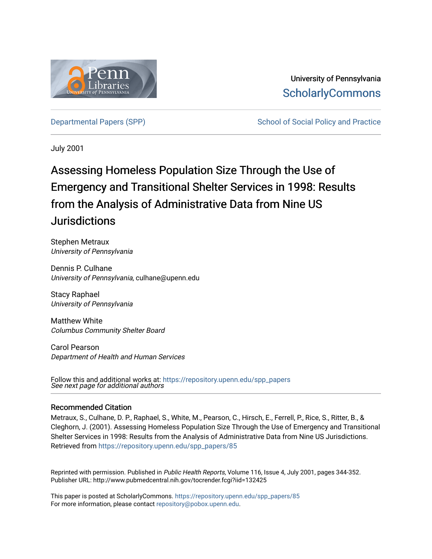

University of Pennsylvania **ScholarlyCommons** 

[Departmental Papers \(SPP\)](https://repository.upenn.edu/spp_papers) The School of Social Policy and Practice

July 2001

## Assessing Homeless Population Size Through the Use of Emergency and Transitional Shelter Services in 1998: Results from the Analysis of Administrative Data from Nine US **Jurisdictions**

Stephen Metraux University of Pennsylvania

Dennis P. Culhane University of Pennsylvania, culhane@upenn.edu

Stacy Raphael University of Pennsylvania

Matthew White Columbus Community Shelter Board

Carol Pearson Department of Health and Human Services

See next page for additional authors Follow this and additional works at: [https://repository.upenn.edu/spp\\_papers](https://repository.upenn.edu/spp_papers?utm_source=repository.upenn.edu%2Fspp_papers%2F85&utm_medium=PDF&utm_campaign=PDFCoverPages) 

## Recommended Citation

Metraux, S., Culhane, D. P., Raphael, S., White, M., Pearson, C., Hirsch, E., Ferrell, P., Rice, S., Ritter, B., & Cleghorn, J. (2001). Assessing Homeless Population Size Through the Use of Emergency and Transitional Shelter Services in 1998: Results from the Analysis of Administrative Data from Nine US Jurisdictions. Retrieved from [https://repository.upenn.edu/spp\\_papers/85](https://repository.upenn.edu/spp_papers/85?utm_source=repository.upenn.edu%2Fspp_papers%2F85&utm_medium=PDF&utm_campaign=PDFCoverPages)

Reprinted with permission. Published in Public Health Reports, Volume 116, Issue 4, July 2001, pages 344-352. Publisher URL: http://www.pubmedcentral.nih.gov/tocrender.fcgi?iid=132425

This paper is posted at ScholarlyCommons. [https://repository.upenn.edu/spp\\_papers/85](https://repository.upenn.edu/spp_papers/85)  For more information, please contact [repository@pobox.upenn.edu.](mailto:repository@pobox.upenn.edu)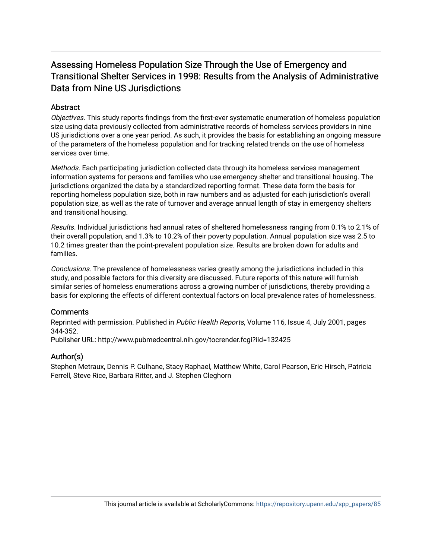## Assessing Homeless Population Size Through the Use of Emergency and Transitional Shelter Services in 1998: Results from the Analysis of Administrative Data from Nine US Jurisdictions

## **Abstract**

Objectives. This study reports findings from the first-ever systematic enumeration of homeless population size using data previously collected from administrative records of homeless services providers in nine US jurisdictions over a one year period. As such, it provides the basis for establishing an ongoing measure of the parameters of the homeless population and for tracking related trends on the use of homeless services over time.

Methods. Each participating jurisdiction collected data through its homeless services management information systems for persons and families who use emergency shelter and transitional housing. The jurisdictions organized the data by a standardized reporting format. These data form the basis for reporting homeless population size, both in raw numbers and as adjusted for each jurisdiction's overall population size, as well as the rate of turnover and average annual length of stay in emergency shelters and transitional housing.

Results. Individual jurisdictions had annual rates of sheltered homelessness ranging from 0.1% to 2.1% of their overall population, and 1.3% to 10.2% of their poverty population. Annual population size was 2.5 to 10.2 times greater than the point-prevalent population size. Results are broken down for adults and families.

Conclusions. The prevalence of homelessness varies greatly among the jurisdictions included in this study, and possible factors for this diversity are discussed. Future reports of this nature will furnish similar series of homeless enumerations across a growing number of jurisdictions, thereby providing a basis for exploring the effects of different contextual factors on local prevalence rates of homelessness.

## **Comments**

Reprinted with permission. Published in Public Health Reports, Volume 116, Issue 4, July 2001, pages 344-352.

Publisher URL: http://www.pubmedcentral.nih.gov/tocrender.fcgi?iid=132425

## Author(s)

Stephen Metraux, Dennis P. Culhane, Stacy Raphael, Matthew White, Carol Pearson, Eric Hirsch, Patricia Ferrell, Steve Rice, Barbara Ritter, and J. Stephen Cleghorn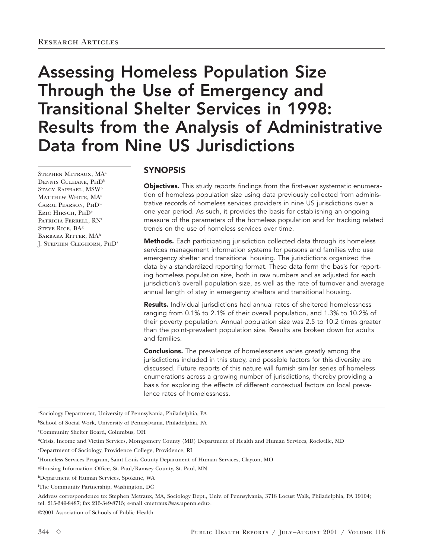# Assessing Homeless Population Size Through the Use of Emergency and Transitional Shelter Services in 1998: Results from the Analysis of Administrative Data from Nine US Jurisdictions

Stephen Metraux, MA<sup>a</sup> DENNIS CULHANE, PHD<sup>b</sup> STACY RAPHAEL, MSW<sup>b</sup> MATTHEW WHITE, MA<sup>c</sup> CAROL PEARSON, PHD<sup>d</sup> ERIC HIRSCH, PHD<sup>e</sup> PATRICIA FERRELL, RN<sup>f</sup> STEVE RICE, BA<sup>g</sup> BARBARA RITTER, MA<sup>h</sup> J. Stephen Cleghorn, PhD<sup>i</sup>

## SYNOPSIS

Objectives. This study reports findings from the first-ever systematic enumeration of homeless population size using data previously collected from administrative records of homeless services providers in nine US jurisdictions over a one year period. As such, it provides the basis for establishing an ongoing measure of the parameters of the homeless population and for tracking related trends on the use of homeless services over time.

Methods. Each participating jurisdiction collected data through its homeless services management information systems for persons and families who use emergency shelter and transitional housing. The jurisdictions organized the data by a standardized reporting format. These data form the basis for reporting homeless population size, both in raw numbers and as adjusted for each jurisdiction's overall population size, as well as the rate of turnover and average annual length of stay in emergency shelters and transitional housing.

Results. Individual jurisdictions had annual rates of sheltered homelessness ranging from 0.1% to 2.1% of their overall population, and 1.3% to 10.2% of their poverty population. Annual population size was 2.5 to 10.2 times greater than the point-prevalent population size. Results are broken down for adults and families.

**Conclusions.** The prevalence of homelessness varies greatly among the jurisdictions included in this study, and possible factors for this diversity are discussed. Future reports of this nature will furnish similar series of homeless enumerations across a growing number of jurisdictions, thereby providing a basis for exploring the effects of different contextual factors on local prevalence rates of homelessness.

a Sociology Department, University of Pennsylvania, Philadelphia, PA

b School of Social Work, University of Pennsylvania, Philadelphia, PA

c Community Shelter Board, Columbus, OH

e Department of Sociology, Providence College, Providence, RI

f Homeless Services Program, Saint Louis County Department of Human Services, Clayton, MO

Address correspondence to: Stephen Metraux, MA, Sociology Dept., Univ. of Pennsylvania, 3718 Locust Walk, Philadelphia, PA 19104; tel. 215-349-8487; fax 215-349-8715; e-mail <metraux@sas.upenn.edu>.

©2001 Association of Schools of Public Health

dCrisis, Income and Victim Services, Montgomery County (MD) Department of Health and Human Services, Rockville, MD

g Housing Information Office, St. Paul/Ramsey County, St. Paul, MN

hDepartment of Human Services, Spokane, WA

i The Community Partnership, Washington, DC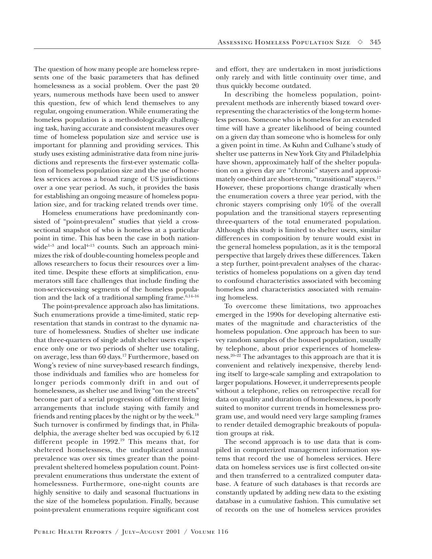The question of how many people are homeless represents one of the basic parameters that has defined homelessness as a social problem. Over the past 20 years, numerous methods have been used to answer this question, few of which lend themselves to any regular, ongoing enumeration. While enumerating the homeless population is a methodologically challenging task, having accurate and consistent measures over time of homeless population size and service use is important for planning and providing services. This study uses existing administrative data from nine jurisdictions and represents the first-ever systematic collation of homeless population size and the use of homeless services across a broad range of US jurisdictions over a one year period. As such, it provides the basis for establishing an ongoing measure of homeless population size, and for tracking related trends over time.

Homeless enumerations have predominantly consisted of "point-prevalent" studies that yield a crosssectional snapshot of who is homeless at a particular point in time. This has been the case in both nationwide<sup>1-3</sup> and local<sup>4-13</sup> counts. Such an approach minimizes the risk of double-counting homeless people and allows researchers to focus their resources over a limited time. Despite these efforts at simplification, enumerators still face challenges that include finding the non-services-using segments of the homeless population and the lack of a traditional sampling frame.<sup>6,14-16</sup>

The point-prevalence approach also has limitations. Such enumerations provide a time-limited, static representation that stands in contrast to the dynamic nature of homelessness. Studies of shelter use indicate that three-quarters of single adult shelter users experience only one or two periods of shelter use totaling, on average, less than 60 days.17 Furthermore, based on Wong's review of nine survey-based research findings, those individuals and families who are homeless for longer periods commonly drift in and out of homelessness, as shelter use and living "on the streets" become part of a serial progression of different living arrangements that include staying with family and friends and renting places by the night or by the week.18 Such turnover is confirmed by findings that, in Philadelphia, the average shelter bed was occupied by 6.12 different people in 1992.19 This means that, for sheltered homelessness, the unduplicated annual prevalence was over six times greater than the pointprevalent sheltered homeless population count. Pointprevalent enumerations thus understate the extent of homelessness. Furthermore, one-night counts are highly sensitive to daily and seasonal fluctuations in the size of the homeless population. Finally, because point-prevalent enumerations require significant cost

and effort, they are undertaken in most jurisdictions only rarely and with little continuity over time, and thus quickly become outdated.

In describing the homeless population, pointprevalent methods are inherently biased toward overrepresenting the characteristics of the long-term homeless person. Someone who is homeless for an extended time will have a greater likelihood of being counted on a given day than someone who is homeless for only a given point in time. As Kuhn and Culhane's study of shelter use patterns in New York City and Philadelphia have shown, approximately half of the shelter population on a given day are "chronic" stayers and approximately one-third are short-term, "transitional" stayers.<sup>17</sup> However, these proportions change drastically when the enumeration covers a three year period, with the chronic stayers comprising only 10% of the overall population and the transitional stayers representing three-quarters of the total enumerated population. Although this study is limited to shelter users, similar differences in composition by tenure would exist in the general homeless population, as it is the temporal perspective that largely drives these differences. Taken a step further, point-prevalent analyses of the characteristics of homeless populations on a given day tend to confound characteristics associated with becoming homeless and characteristics associated with remaining homeless.

To overcome these limitations, two approaches emerged in the 1990s for developing alternative estimates of the magnitude and characteristics of the homeless population. One approach has been to survey random samples of the housed population, usually by telephone, about prior experiences of homelessness.20–22 The advantages to this approach are that it is convenient and relatively inexpensive, thereby lending itself to large-scale sampling and extrapolation to larger populations. However, it underrepresents people without a telephone, relies on retrospective recall for data on quality and duration of homelessness, is poorly suited to monitor current trends in homelessness program use, and would need very large sampling frames to render detailed demographic breakouts of population groups at risk.

The second approach is to use data that is compiled in computerized management information systems that record the use of homeless services. Here data on homeless services use is first collected on-site and then transferred to a centralized computer database. A feature of such databases is that records are constantly updated by adding new data to the existing database in a cumulative fashion. This cumulative set of records on the use of homeless services provides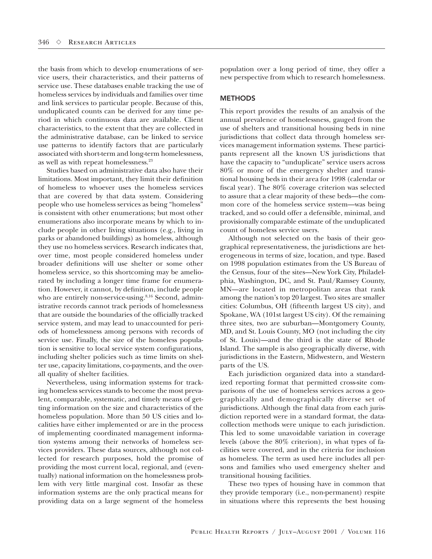the basis from which to develop enumerations of service users, their characteristics, and their patterns of service use. These databases enable tracking the use of homeless services by individuals and families over time and link services to particular people. Because of this, unduplicated counts can be derived for any time period in which continuous data are available. Client characteristics, to the extent that they are collected in the administrative database, can be linked to service use patterns to identify factors that are particularly associated with short-term and long-term homelessness, as well as with repeat homelessness.23

Studies based on administrative data also have their limitations. Most important, they limit their definition of homeless to whoever uses the homeless services that are covered by that data system. Considering people who use homeless services as being "homeless" is consistent with other enumerations; but most other enumerations also incorporate means by which to include people in other living situations (e.g., living in parks or abandoned buildings) as homeless, although they use no homeless services. Research indicates that, over time, most people considered homeless under broader definitions will use shelter or some other homeless service, so this shortcoming may be ameliorated by including a longer time frame for enumeration. However, it cannot, by definition, include people who are entirely non-service-using.<sup>8,16</sup> Second, administrative records cannot track periods of homelessness that are outside the boundaries of the officially tracked service system, and may lead to unaccounted for periods of homelessness among persons with records of service use. Finally, the size of the homeless population is sensitive to local service system configurations, including shelter policies such as time limits on shelter use, capacity limitations, co-payments, and the overall quality of shelter facilities.

Nevertheless, using information systems for tracking homeless services stands to become the most prevalent, comparable, systematic, and timely means of getting information on the size and characteristics of the homeless population. More than 50 US cities and localities have either implemented or are in the process of implementing coordinated management information systems among their networks of homeless services providers. These data sources, although not collected for research purposes, hold the promise of providing the most current local, regional, and (eventually) national information on the homelessness problem with very little marginal cost. Insofar as these information systems are the only practical means for providing data on a large segment of the homeless

population over a long period of time, they offer a new perspective from which to research homelessness.

#### **METHODS**

This report provides the results of an analysis of the annual prevalence of homelessness, gauged from the use of shelters and transitional housing beds in nine jurisdictions that collect data through homeless services management information systems. These participants represent all the known US jurisdictions that have the capacity to "unduplicate" service users across 80% or more of the emergency shelter and transitional housing beds in their area for 1998 (calendar or fiscal year). The 80% coverage criterion was selected to assure that a clear majority of these beds—the common core of the homeless service system—was being tracked, and so could offer a defensible, minimal, and provisionally comparable estimate of the unduplicated count of homeless service users.

Although not selected on the basis of their geographical representativeness, the jurisdictions are heterogeneous in terms of size, location, and type. Based on 1998 population estimates from the US Bureau of the Census, four of the sites—New York City, Philadelphia, Washington, DC, and St. Paul/Ramsey County, MN—are located in metropolitan areas that rank among the nation's top 20 largest. Two sites are smaller cities: Columbus, OH (fifteenth largest US city), and Spokane, WA (101st largest US city). Of the remaining three sites, two are suburban—Montgomery County, MD, and St. Louis County, MO (not including the city of St. Louis)—and the third is the state of Rhode Island. The sample is also geographically diverse, with jurisdictions in the Eastern, Midwestern, and Western parts of the US.

Each jurisdiction organized data into a standardized reporting format that permitted cross-site comparisons of the use of homeless services across a geographically and demographically diverse set of jurisdictions. Although the final data from each jurisdiction reported were in a standard format, the datacollection methods were unique to each jurisdiction. This led to some unavoidable variation in coverage levels (above the 80% criterion), in what types of facilities were covered, and in the criteria for inclusion as homeless. The term as used here includes all persons and families who used emergency shelter and transitional housing facilities.

These two types of housing have in common that they provide temporary (i.e., non-permanent) respite in situations where this represents the best housing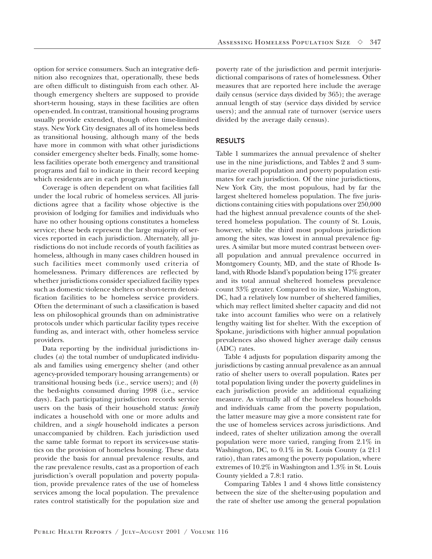option for service consumers. Such an integrative definition also recognizes that, operationally, these beds are often difficult to distinguish from each other. Although emergency shelters are supposed to provide short-term housing, stays in these facilities are often open-ended. In contrast, transitional housing programs usually provide extended, though often time-limited stays. New York City designates all of its homeless beds as transitional housing, although many of the beds have more in common with what other jurisdictions consider emergency shelter beds. Finally, some homeless facilities operate both emergency and transitional programs and fail to indicate in their record keeping which residents are in each program.

Coverage is often dependent on what facilities fall under the local rubric of homeless services. All jurisdictions agree that a facility whose objective is the provision of lodging for families and individuals who have no other housing options constitutes a homeless service; these beds represent the large majority of services reported in each jurisdiction. Alternately, all jurisdictions do not include records of youth facilities as homeless, although in many cases children housed in such facilities meet commonly used criteria of homelessness. Primary differences are reflected by whether jurisdictions consider specialized facility types such as domestic violence shelters or short-term detoxification facilities to be homeless service providers. Often the determinant of such a classification is based less on philosophical grounds than on administrative protocols under which particular facility types receive funding as, and interact with, other homeless service providers.

Data reporting by the individual jurisdictions includes (*a*) the total number of unduplicated individuals and families using emergency shelter (and other agency-provided temporary housing arrangements) or transitional housing beds (i.e., service users); and (*b*) the bed-nights consumed during 1998 (i.e., service days). Each participating jurisdiction records service users on the basis of their household status: *family* indicates a household with one or more adults and children, and a *single* household indicates a person unaccompanied by children. Each jurisdiction used the same table format to report its services-use statistics on the provision of homeless housing. These data provide the basis for annual prevalence results, and the raw prevalence results, cast as a proportion of each jurisdiction's overall population and poverty population, provide prevalence rates of the use of homeless services among the local population. The prevalence rates control statistically for the population size and poverty rate of the jurisdiction and permit interjurisdictional comparisons of rates of homelessness. Other measures that are reported here include the average daily census (service days divided by 365); the average annual length of stay (service days divided by service users); and the annual rate of turnover (service users divided by the average daily census).

#### RESULTS

Table 1 summarizes the annual prevalence of shelter use in the nine jurisdictions, and Tables 2 and 3 summarize overall population and poverty population estimates for each jurisdiction. Of the nine jurisdictions, New York City, the most populous, had by far the largest sheltered homeless population. The five jurisdictions containing cities with populations over 250,000 had the highest annual prevalence counts of the sheltered homeless population. The county of St. Louis, however, while the third most populous jurisdiction among the sites, was lowest in annual prevalence figures. A similar but more muted contrast between overall population and annual prevalence occurred in Montgomery County, MD, and the state of Rhode Island, with Rhode Island's population being 17% greater and its total annual sheltered homeless prevalence count 33% greater. Compared to its size, Washington, DC, had a relatively low number of sheltered families, which may reflect limited shelter capacity and did not take into account families who were on a relatively lengthy waiting list for shelter. With the exception of Spokane, jurisdictions with higher annual population prevalences also showed higher average daily census (ADC) rates.

Table 4 adjusts for population disparity among the jurisdictions by casting annual prevalence as an annual ratio of shelter users to overall population. Rates per total population living under the poverty guidelines in each jurisdiction provide an additional equalizing measure. As virtually all of the homeless households and individuals came from the poverty population, the latter measure may give a more consistent rate for the use of homeless services across jurisdictions. And indeed, rates of shelter utilization among the overall population were more varied, ranging from 2.1% in Washington, DC, to 0.1% in St. Louis County (a 21:1 ratio), than rates among the poverty population, where extremes of 10.2% in Washington and 1.3% in St. Louis County yielded a 7.8:1 ratio.

Comparing Tables 1 and 4 shows little consistency between the size of the shelter-using population and the rate of shelter use among the general population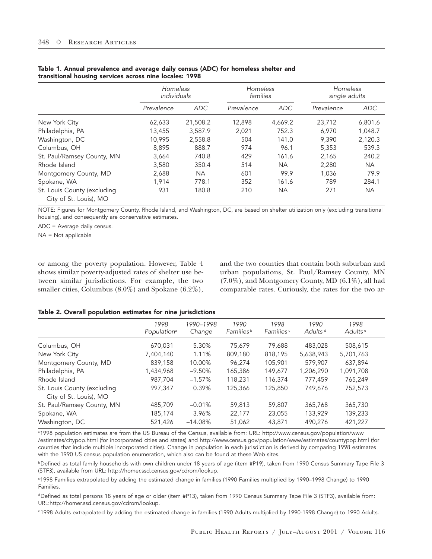|                                                       | Homeless<br>individuals |            | Homeless<br>families |           | Homeless<br>single adults |            |  |
|-------------------------------------------------------|-------------------------|------------|----------------------|-----------|---------------------------|------------|--|
|                                                       | Prevalence              | <b>ADC</b> | Prevalence           | ADC       | Prevalence                | <b>ADC</b> |  |
| New York City                                         | 62,633                  | 21,508.2   | 12,898               | 4,669.2   | 23,712                    | 6,801.6    |  |
| Philadelphia, PA                                      | 13,455                  | 3,587.9    | 2,021                | 752.3     | 6,970                     | 1,048.7    |  |
| Washington, DC                                        | 10.995                  | 2,558.8    | 504                  | 141.0     | 9,390                     | 2,120.3    |  |
| Columbus, OH                                          | 8,895                   | 888.7      | 974                  | 96.1      | 5,353                     | 539.3      |  |
| St. Paul/Ramsey County, MN                            | 3,664                   | 740.8      | 429                  | 161.6     | 2,165                     | 240.2      |  |
| Rhode Island                                          | 3,580                   | 350.4      | 514                  | <b>NA</b> | 2,280                     | NA.        |  |
| Montgomery County, MD                                 | 2,688                   | <b>NA</b>  | 601                  | 99.9      | 1,036                     | 79.9       |  |
| Spokane, WA                                           | 1,914                   | 778.1      | 352                  | 161.6     | 789                       | 284.1      |  |
| St. Louis County (excluding<br>City of St. Louis), MO | 931                     | 180.8      | 210                  | <b>NA</b> | 271                       | <b>NA</b>  |  |

#### Table 1. Annual prevalence and average daily census (ADC) for homeless shelter and transitional housing services across nine locales: 1998

NOTE: Figures for Montgomery County, Rhode Island, and Washington, DC, are based on shelter utilization only (excluding transitional housing), and consequently are conservative estimates.

ADC = Average daily census.

NA = Not applicable

or among the poverty population. However, Table 4 shows similar poverty-adjusted rates of shelter use between similar jurisdictions. For example, the two smaller cities, Columbus (8.0%) and Spokane (6.2%),

and the two counties that contain both suburban and urban populations, St. Paul/Ramsey County, MN (7.0%), and Montgomery County, MD (6.1%), all had comparable rates. Curiously, the rates for the two ar-

#### Table 2. Overall population estimates for nine jurisdictions

|                                                       | 1998<br>Population <sup>a</sup> | 1990-1998<br>Change | 1990<br>Families <sup>b</sup> | 1998<br>Families <sup>c</sup> | 1990<br>Adults <sup>d</sup> | 1998<br>Adults <sup>e</sup> |  |
|-------------------------------------------------------|---------------------------------|---------------------|-------------------------------|-------------------------------|-----------------------------|-----------------------------|--|
| Columbus, OH                                          | 670,031                         | 5.30%               | 75.679                        | 79,688                        | 483,028                     | 508,615                     |  |
| New York City                                         | 7,404,140                       | 1.11%               | 809,180                       | 818,195                       | 5,638,943                   | 5,701,763                   |  |
| Montgomery County, MD                                 | 839,158                         | 10.00%              | 96.274                        | 105,901                       | 579,907                     | 637,894                     |  |
| Philadelphia, PA                                      | 1,434,968                       | $-9.50%$            | 165,386                       | 149,677                       | 1,206,290                   | 1,091,708                   |  |
| Rhode Island                                          | 987.704                         | $-1.57%$            | 118,231                       | 116,374                       | 777.459                     | 765,249                     |  |
| St. Louis County (excluding<br>City of St. Louis), MO | 997,347                         | 0.39%               | 125,366                       | 125,850                       | 749,676                     | 752,573                     |  |
| St. Paul/Ramsey County, MN                            | 485,709                         | $-0.01%$            | 59,813                        | 59,807                        | 365,768                     | 365,730                     |  |
| Spokane, WA                                           | 185,174                         | 3.96%               | 22,177                        | 23,055                        | 133,929                     | 139,233                     |  |
| Washington, DC                                        | 521,426                         | $-14.08%$           | 51,062                        | 43,871                        | 490.276                     | 421,227                     |  |

a1998 population estimates are from the US Bureau of the Census, available from: URL: http://www.census.gov/population/www /estimates/citypop.html (for incorporated cities and states) and http://www.census.gov/population/www/estimates/countypop.html (for counties that include multiple incorporated cities). Change in population in each jurisdiction is derived by comparing 1998 estimates with the 1990 US census population enumeration, which also can be found at these Web sites.

bDefined as total family households with own children under 18 years of age (item #P19), taken from 1990 Census Summary Tape File 3 (STF3), available from URL: http://homer.ssd.census.gov/cdrom/lookup.

c1998 Families extrapolated by adding the estimated change in families (1990 Families multiplied by 1990–1998 Change) to 1990 Families.

dDefined as total persons 18 years of age or older (item #P13), taken from 1990 Census Summary Tape File 3 (STF3), available from: URL:http://homer.ssd.census.gov/cdrom/lookup.

e1998 Adults extrapolated by adding the estimated change in families (1990 Adults multiplied by 1990-1998 Change) to 1990 Adults.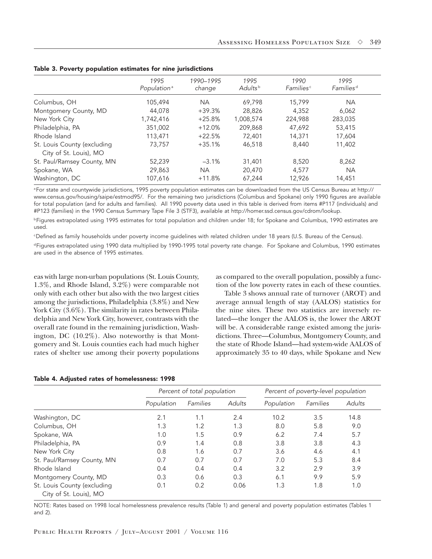|                                                       | 1995<br>Population <sup>a</sup> | 1990-1995<br>change | 1995<br>Adults <sup>b</sup> | 1990<br><b>Families</b> <sup>c</sup> | 1995<br>Families <sup>d</sup> |
|-------------------------------------------------------|---------------------------------|---------------------|-----------------------------|--------------------------------------|-------------------------------|
| Columbus, OH                                          | 105,494                         | <b>NA</b>           | 69.798                      | 15,799                               | <b>NA</b>                     |
| Montgomery County, MD                                 | 44,078                          | $+39.3%$            | 28,826                      | 4,352                                | 6,062                         |
| New York City                                         | 1,742,416                       | $+25.8%$            | 1,008,574                   | 224,988                              | 283,035                       |
| Philadelphia, PA                                      | 351,002                         | $+12.0%$            | 209,868                     | 47,692                               | 53,415                        |
| Rhode Island                                          | 113,471                         | $+22.5%$            | 72,401                      | 14,371                               | 17.604                        |
| St. Louis County (excluding<br>City of St. Louis), MO | 73,757                          | $+35.1%$            | 46,518                      | 8,440                                | 11,402                        |
| St. Paul/Ramsey County, MN                            | 52,239                          | $-3.1%$             | 31,401                      | 8,520                                | 8,262                         |
| Spokane, WA                                           | 29,863                          | NA.                 | 20,470                      | 4,577                                | <b>NA</b>                     |
| Washington, DC                                        | 107,616                         | $+11.8%$            | 67.244                      | 12.926                               | 14,451                        |

|  |  |  | Table 3. Poverty population estimates for nine jurisdictions |
|--|--|--|--------------------------------------------------------------|
|  |  |  |                                                              |

<sup>a</sup>For state and countywide jurisdictions, 1995 poverty population estimates can be downloaded from the US Census Bureau at http:// www.census.gov/housing/saipe/estmod95/. For the remaining two jurisdictions (Columbus and Spokane) only 1990 figures are available for total population (and for adults and families). All 1990 poverty data used in this table is derived from items #P117 (individuals) and #P123 (families) in the 1990 Census Summary Tape File 3 (STF3), available at http://homer.ssd.census.gov/cdrom/lookup.

**bFigures extrapolated using 1995 estimates for total population and children under 18; for Spokane and Columbus, 1990 estimates are** used.

cDefined as family households under poverty income guidelines with related children under 18 years (U.S. Bureau of the Census).

dFigures extrapolated using 1990 data multiplied by 1990-1995 total poverty rate change. For Spokane and Columbus, 1990 estimates are used in the absence of 1995 estimates.

eas with large non-urban populations (St. Louis County, 1.3%, and Rhode Island, 3.2%) were comparable not only with each other but also with the two largest cities among the jurisdictions, Philadelphia (3.8%) and New York City  $(3.6\%)$ . The similarity in rates between Philadelphia and New York City, however, contrasts with the overall rate found in the remaining jurisdiction, Washington, DC (10.2%). Also noteworthy is that Montgomery and St. Louis counties each had much higher rates of shelter use among their poverty populations as compared to the overall population, possibly a function of the low poverty rates in each of these counties.

Table 3 shows annual rate of turnover (AROT) and average annual length of stay (AALOS) statistics for the nine sites. These two statistics are inversely related—the longer the AALOS is, the lower the AROT will be. A considerable range existed among the jurisdictions. Three—Columbus, Montgomery County, and the state of Rhode Island—had system-wide AALOS of approximately 35 to 40 days, while Spokane and New

#### Table 4. Adjusted rates of homelessness: 1998

|                                                       | Percent of total population |          |               | Percent of poverty-level population |          |               |  |
|-------------------------------------------------------|-----------------------------|----------|---------------|-------------------------------------|----------|---------------|--|
|                                                       | Population                  | Families | <b>Adults</b> | Population                          | Families | <b>Adults</b> |  |
| Washington, DC                                        | 2.1                         | 1.1      | 2.4           | 10.2                                | 3.5      | 14.8          |  |
| Columbus, OH                                          | 1.3                         | 1.2      | 1.3           | 8.0                                 | 5.8      | 9.0           |  |
| Spokane, WA                                           | 1.0                         | 1.5      | 0.9           | 6.2                                 | 7.4      | 5.7           |  |
| Philadelphia, PA                                      | 0.9                         | 1.4      | 0.8           | 3.8                                 | 3.8      | 4.3           |  |
| New York City                                         | 0.8                         | 1.6      | 0.7           | 3.6                                 | 4.6      | 4.1           |  |
| St. Paul/Ramsey County, MN                            | 0.7                         | 0.7      | 0.7           | 7.0                                 | 5.3      | 8.4           |  |
| Rhode Island                                          | 0.4                         | 0.4      | 0.4           | 3.2                                 | 2.9      | 3.9           |  |
| Montgomery County, MD                                 | 0.3                         | 0.6      | 0.3           | 6.1                                 | 9.9      | 5.9           |  |
| St. Louis County (excluding<br>City of St. Louis), MO | 0.1                         | 0.2      | 0.06          | 1.3                                 | 1.8      | 1.0           |  |

NOTE: Rates based on 1998 local homelessness prevalence results (Table 1) and general and poverty population estimates (Tables 1 and 2).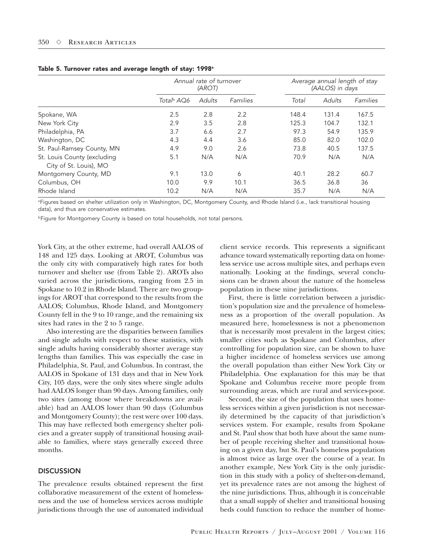|                                                       | Annual rate of turnover<br>(AROT) |        |          | Average annual length of stay<br>(AALOS) in days |               |          |  |
|-------------------------------------------------------|-----------------------------------|--------|----------|--------------------------------------------------|---------------|----------|--|
|                                                       | Total <sup>b</sup> AQ6            | Adults | Families | Total                                            | <b>Adults</b> | Families |  |
| Spokane, WA                                           | 2.5                               | 2.8    | 2.2      | 148.4                                            | 131.4         | 167.5    |  |
| New York City                                         | 2.9                               | 3.5    | 2.8      | 125.3                                            | 104.7         | 132.1    |  |
| Philadelphia, PA                                      | 3.7                               | 6.6    | 2.7      | 97.3                                             | 54.9          | 135.9    |  |
| Washington, DC                                        | 4.3                               | 4.4    | 3.6      | 85.0                                             | 82.0          | 102.0    |  |
| St. Paul-Ramsey County, MN                            | 4.9                               | 9.0    | 2.6      | 73.8                                             | 40.5          | 137.5    |  |
| St. Louis County (excluding<br>City of St. Louis), MO | 5.1                               | N/A    | N/A      | 70.9                                             | N/A           | N/A      |  |
| Montgomery County, MD                                 | 9.1                               | 13.0   | 6        | 40.1                                             | 28.2          | 60.7     |  |
| Columbus, OH                                          | 10.0                              | 9.9    | 10.1     | 36.5                                             | 36.8          | 36       |  |
| Rhode Island                                          | 10.2                              | N/A    | N/A      | 35.7                                             | N/A           | N/A      |  |

#### Table 5. Turnover rates and average length of stay: 1998<sup>a</sup>

<sup>a</sup>Figures based on shelter utilization only in Washington, DC, Montgomery County, and Rhode Island (i.e., lack transitional housing data), and thus are conservative estimates.

**bFigure for Montgomery County is based on total households, not total persons.** 

York City, at the other extreme, had overall AALOS of 148 and 125 days. Looking at AROT, Columbus was the only city with comparatively high rates for both turnover and shelter use (from Table 2). AROTs also varied across the jurisdictions, ranging from 2.5 in Spokane to 10.2 in Rhode Island. There are two groupings for AROT that correspond to the results from the AALOS; Columbus, Rhode Island, and Montgomery County fell in the 9 to 10 range, and the remaining six sites had rates in the 2 to 5 range.

Also interesting are the disparities between families and single adults with respect to these statistics, with single adults having considerably shorter average stay lengths than families. This was especially the case in Philadelphia, St. Paul, and Columbus. In contrast, the AALOS in Spokane of 131 days and that in New York City, 105 days, were the only sites where single adults had AALOS longer than 90 days. Among families, only two sites (among those where breakdowns are available) had an AALOS lower than 90 days (Columbus and Montgomery County); the rest were over 100 days. This may have reflected both emergency shelter policies and a greater supply of transitional housing available to families, where stays generally exceed three months.

#### **DISCUSSION**

The prevalence results obtained represent the first collaborative measurement of the extent of homelessness and the use of homeless services across multiple jurisdictions through the use of automated individual

client service records. This represents a significant advance toward systematically reporting data on homeless service use across multiple sites, and perhaps even nationally. Looking at the findings, several conclusions can be drawn about the nature of the homeless population in these nine jurisdictions.

First, there is little correlation between a jurisdiction's population size and the prevalence of homelessness as a proportion of the overall population. As measured here, homelessness is not a phenomenon that is necessarily most prevalent in the largest cities; smaller cities such as Spokane and Columbus, after controlling for population size, can be shown to have a higher incidence of homeless services use among the overall population than either New York City or Philadelphia. One explanation for this may be that Spokane and Columbus receive more people from surrounding areas, which are rural and services-poor.

Second, the size of the population that uses homeless services within a given jurisdiction is not necessarily determined by the capacity of that jurisdiction's services system. For example, results from Spokane and St. Paul show that both have about the same number of people receiving shelter and transitional housing on a given day, but St. Paul's homeless population is almost twice as large over the course of a year. In another example, New York City is the only jurisdiction in this study with a policy of shelter-on-demand, yet its prevalence rates are not among the highest of the nine jurisdictions. Thus, although it is conceivable that a small supply of shelter and transitional housing beds could function to reduce the number of home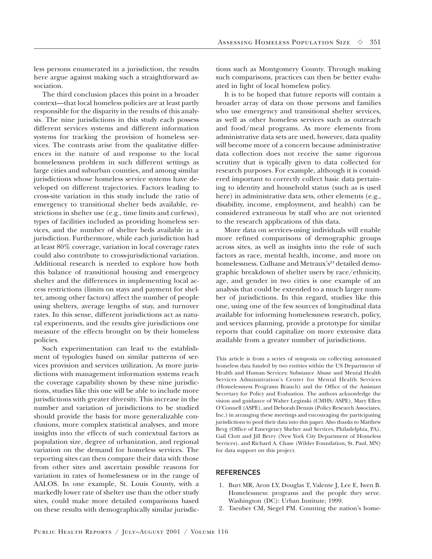less persons enumerated in a jurisdiction, the results here argue against making such a straightforward association.

The third conclusion places this point in a broader context—that local homeless policies are at least partly responsible for the disparity in the results of this analysis. The nine jurisdictions in this study each possess different services systems and different information systems for tracking the provision of homeless services. The contrasts arise from the qualitative differences in the nature of and response to the local homelessness problem in such different settings as large cities and suburban counties, and among similar jurisdictions whose homeless service systems have developed on different trajectories. Factors leading to cross-site variation in this study include the ratio of emergency to transitional shelter beds available, restrictions in shelter use (e.g., time limits and curfews), types of facilities included as providing homeless services, and the number of shelter beds available in a jurisdiction. Furthermore, while each jurisdiction had at least 80% coverage, variation in local coverage rates could also contribute to cross-jurisdictional variation. Additional research is needed to explore how both this balance of transitional housing and emergency shelter and the differences in implementing local access restrictions (limits on stays and payment for shelter, among other factors) affect the number of people using shelters, average lengths of stay, and turnover rates. In this sense, different jurisdictions act as natural experiments, and the results give jurisdictions one measure of the effects brought on by their homeless policies.

Such experimentation can lead to the establishment of typologies based on similar patterns of services provision and services utilization. As more jurisdictions with management information systems reach the coverage capability shown by these nine jurisdictions, studies like this one will be able to include more jurisdictions with greater diversity. This increase in the number and variation of jurisdictions to be studied should provide the basis for more generalizable conclusions, more complex statistical analyses, and more insights into the effects of such contextual factors as population size, degree of urbanization, and regional variation on the demand for homeless services. The reporting sites can then compare their data with those from other sites and ascertain possible reasons for variation in rates of homelessness or in the range of AALOS. In one example, St. Louis County, with a markedly lower rate of shelter use than the other study sites, could make more detailed comparisons based on these results with demographically similar jurisdictions such as Montgomery County. Through making such comparisons, practices can then be better evaluated in light of local homeless policy.

It is to be hoped that future reports will contain a broader array of data on those persons and families who use emergency and transitional shelter services, as well as other homeless services such as outreach and food/meal programs. As more elements from administrative data sets are used, however, data quality will become more of a concern because administrative data collection does not receive the same rigorous scrutiny that is typically given to data collected for research purposes. For example, although it is considered important to correctly collect basic data pertaining to identity and household status (such as is used here) in administrative data sets, other elements (e.g., disability, income, employment, and health) can be considered extraneous by staff who are not oriented to the research applications of this data.

More data on services-using individuals will enable more refined comparisons of demographic groups across sites, as well as insights into the role of such factors as race, mental health, income, and more on homelessness. Culhane and Metraux's<sup>24</sup> detailed demographic breakdown of shelter users by race/ethnicity, age, and gender in two cities is one example of an analysis that could be extended to a much larger number of jurisdictions. In this regard, studies like this one, using one of the few sources of longitudinal data available for informing homelessness research, policy, and services planning, provide a prototype for similar reports that could capitalize on more extensive data available from a greater number of jurisdictions.

This article is from a series of symposia on collecting automated homeless data funded by two entities within the US Department of Health and Human Services: Substance Abuse and Mental Health Services Administration's Center for Mental Health Services (Homelessness Programs Branch) and the Office of the Assistant Secretary for Policy and Evaluation. The authors acknowledge the vision and guidance of Walter Leginski (CMHS/ASPE), Mary Ellen O'Connell (ASPE), and Deborah Dennis (Policy Research Associates, Inc.) in arranging these meetings and encouraging the participating jurisdictions to pool their data into this paper. Also thanks to Matthew Berg (Office of Emergency Shelter and Services, Philadelphia, PA), Gail Clott and Jill Berry (New York City Department of Homeless Services), and Richard A. Chase (Wilder Foundation, St. Paul, MN) for data support on this project.

#### **REFERENCES**

- 1. Burt MR, Aron LY, Douglas T, Valente J, Lee E, Iwen B. Homelessness: programs and the people they serve. Washington (DC): Urban Institute; 1999.
- 2. Taeuber CM, Siegel PM. Counting the nation's home-